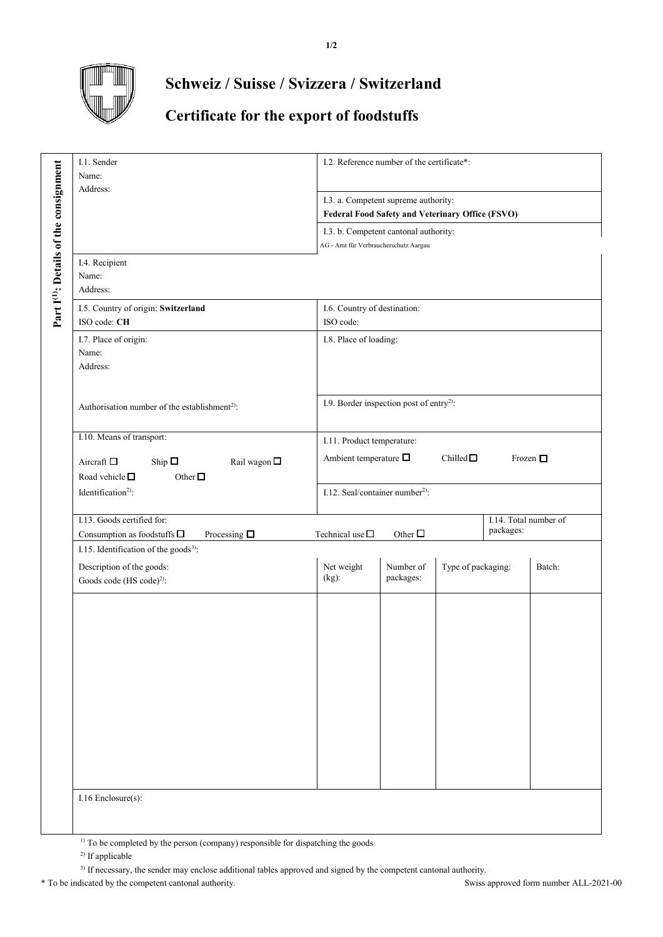

## **Schweiz / Suisse / Svizzera / Switzerland**

## **Certificate for the export of foodstuffs**

| I.1. Sender<br>Name:<br>Address:                                                                                                                                      | I.2. Reference number of the certificate*:                                                        |
|-----------------------------------------------------------------------------------------------------------------------------------------------------------------------|---------------------------------------------------------------------------------------------------|
|                                                                                                                                                                       | I.3. a. Competent supreme authority:<br>Federal Food Safety and Veterinary Office (FSVO)          |
|                                                                                                                                                                       | I.3. b. Competent cantonal authority:<br>AG - Amt für Verbraucherschutz Aargau                    |
| Part I <sup>(1)</sup> : Details of the consignment<br>I.4. Recipient<br>Name:<br>Address:                                                                             |                                                                                                   |
| I.5. Country of origin: Switzerland<br>ISO code: CH                                                                                                                   | I.6. Country of destination:<br>ISO code:                                                         |
| I.7. Place of origin:<br>Name:<br>Address:                                                                                                                            | I.8. Place of loading:                                                                            |
| Authorisation number of the establishment <sup>2)</sup> :                                                                                                             | I.9. Border inspection post of entry <sup>2)</sup> :                                              |
| I.10. Means of transport:<br>Aircraft $\square$<br>Rail wagon $\square$<br>Ship $\square$<br>Road vehicle $\square$<br>Other $\Box$<br>Identification <sup>2)</sup> : | I.11. Product temperature:<br>Ambient temperature $\square$<br>Chilled $\Box$<br>Frozen $\square$ |
|                                                                                                                                                                       | I.12. Seal/container number <sup>2)</sup> :                                                       |
| I.13. Goods certified for:<br>Consumption as food<br>stuffs $\Box$<br>Processing $\square$                                                                            | I.14. Total number of<br>packages:<br>Other $\square$<br>Technical use $\Box$                     |
| I.15. Identification of the goods <sup>3)</sup> :                                                                                                                     |                                                                                                   |
| Description of the goods:<br>Goods code (HS code) <sup>2)</sup> :                                                                                                     | Net weight<br>Number of<br>Type of packaging:<br>Batch:<br>packages:<br>$(kg)$ :                  |
|                                                                                                                                                                       |                                                                                                   |
| I.16 Enclosure(s):                                                                                                                                                    |                                                                                                   |

<sup>1)</sup> To be completed by the person (company) responsible for dispatching the goods

<sup>2)</sup> If applicable

<sup>3)</sup> If necessary, the sender may enclose additional tables approved and signed by the competent cantonal authority.

\* To be indicated by the competent cantonal authority. Swiss approved form number ALL-2021-00